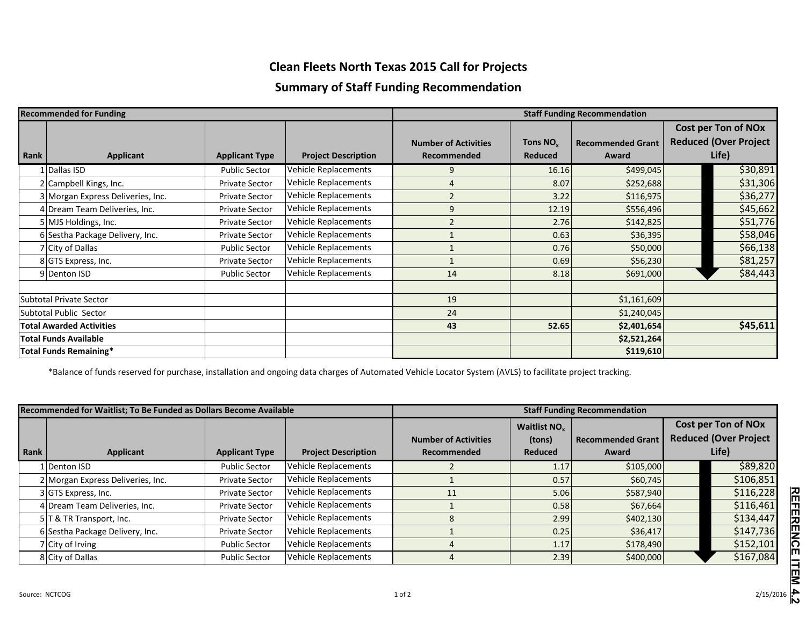## **Clean Fleets North Texas 2015 Call for Projects**

## **Summary of Staff Funding Recommendation**

| <b>Recommended for Funding</b>  |                                   |                       |                            | <b>Staff Funding Recommendation</b> |                      |                          |  |                              |
|---------------------------------|-----------------------------------|-----------------------|----------------------------|-------------------------------------|----------------------|--------------------------|--|------------------------------|
|                                 |                                   |                       |                            |                                     |                      |                          |  | <b>Cost per Ton of NOx</b>   |
|                                 |                                   |                       |                            | <b>Number of Activities</b>         | Tons NO <sub>v</sub> | <b>Recommended Grant</b> |  | <b>Reduced (Over Project</b> |
| Rank                            | <b>Applicant</b>                  | <b>Applicant Type</b> | <b>Project Description</b> | Recommended                         | Reduced              | Award                    |  | Life)                        |
|                                 | Dallas ISD                        | <b>Public Sector</b>  | Vehicle Replacements       | 9                                   | 16.16                | \$499,045                |  | \$30,891                     |
|                                 | 2 Campbell Kings, Inc.            | <b>Private Sector</b> | Vehicle Replacements       | 4                                   | 8.07                 | \$252,688                |  | \$31,306                     |
|                                 | 3 Morgan Express Deliveries, Inc. | <b>Private Sector</b> | Vehicle Replacements       | $\overline{2}$                      | 3.22                 | \$116,975                |  | \$36,277                     |
|                                 | 4 Dream Team Deliveries, Inc.     | <b>Private Sector</b> | Vehicle Replacements       | 9                                   | 12.19                | \$556,496                |  | \$45,662                     |
|                                 | 5 MJS Holdings, Inc.              | <b>Private Sector</b> | Vehicle Replacements       | $\overline{2}$                      | 2.76                 | \$142,825                |  | \$51,776                     |
|                                 | 6 Sestha Package Delivery, Inc.   | <b>Private Sector</b> | Vehicle Replacements       |                                     | 0.63                 | \$36,395                 |  | \$58,046                     |
| 7 City of Dallas                |                                   | <b>Public Sector</b>  | Vehicle Replacements       |                                     | 0.76                 | \$50,000                 |  | \$66,138                     |
| 8 GTS Express, Inc.             |                                   | <b>Private Sector</b> | Vehicle Replacements       |                                     | 0.69                 | \$56,230                 |  | \$81,257                     |
| 9 Denton ISD                    |                                   | <b>Public Sector</b>  | Vehicle Replacements       | 14                                  | 8.18                 | \$691,000                |  | \$84,443                     |
|                                 |                                   |                       |                            |                                     |                      |                          |  |                              |
| <b>Subtotal Private Sector</b>  |                                   |                       |                            | 19                                  |                      | \$1,161,609              |  |                              |
| Subtotal Public Sector          |                                   |                       |                            | 24                                  |                      | \$1,240,045              |  |                              |
| <b>Total Awarded Activities</b> |                                   |                       |                            | 43                                  | 52.65                | \$2,401,654              |  | \$45,611                     |
| <b>Total Funds Available</b>    |                                   |                       |                            |                                     |                      | \$2,521,264              |  |                              |
| <b>Total Funds Remaining*</b>   |                                   |                       |                            |                                     |                      | \$119,610                |  |                              |

\*Balance of funds reserved for purchase, installation and ongoing data charges of Automated Vehicle Locator System (AVLS) to facilitate project tracking.

| Recommended for Waitlist; To Be Funded as Dollars Become Available |                                   |                       |                             | <b>Staff Funding Recommendation</b>        |                                   |                                   |  |                                                                     |
|--------------------------------------------------------------------|-----------------------------------|-----------------------|-----------------------------|--------------------------------------------|-----------------------------------|-----------------------------------|--|---------------------------------------------------------------------|
| Rank                                                               | <b>Applicant</b>                  | <b>Applicant Type</b> | <b>Project Description</b>  | <b>Number of Activities</b><br>Recommended | Waitlist NO.<br>(tons)<br>Reduced | <b>Recommended Grant</b><br>Award |  | <b>Cost per Ton of NOx</b><br><b>Reduced (Over Project</b><br>Life) |
|                                                                    | Ll Denton ISD                     | <b>Public Sector</b>  | <b>Vehicle Replacements</b> |                                            | 1.17                              | \$105,000                         |  | \$89,820                                                            |
|                                                                    | 2 Morgan Express Deliveries, Inc. | <b>Private Sector</b> | <b>Vehicle Replacements</b> |                                            | 0.57                              | \$60,745                          |  | \$106,851                                                           |
|                                                                    | 3 GTS Express, Inc.               | <b>Private Sector</b> | <b>Vehicle Replacements</b> | 11                                         | 5.06                              | \$587,940                         |  | \$116,228                                                           |
|                                                                    | 4 Dream Team Deliveries, Inc.     | <b>Private Sector</b> | <b>Vehicle Replacements</b> |                                            | 0.58                              | \$67,664                          |  | \$116,461                                                           |
|                                                                    | 5 T & TR Transport, Inc.          | <b>Private Sector</b> | <b>Vehicle Replacements</b> | 8                                          | 2.99                              | \$402,130                         |  | \$134,447                                                           |
|                                                                    | 6 Sestha Package Delivery, Inc.   | <b>Private Sector</b> | <b>Vehicle Replacements</b> |                                            | 0.25                              | \$36,417                          |  | \$147,736                                                           |
|                                                                    | 7 City of Irving                  | <b>Public Sector</b>  | <b>Vehicle Replacements</b> | 4                                          | 1.17                              | \$178,490                         |  | \$152,101                                                           |
|                                                                    | 8 City of Dallas                  | <b>Public Sector</b>  | <b>Vehicle Replacements</b> | 4                                          | 2.39                              | \$400,000                         |  | \$167,084                                                           |